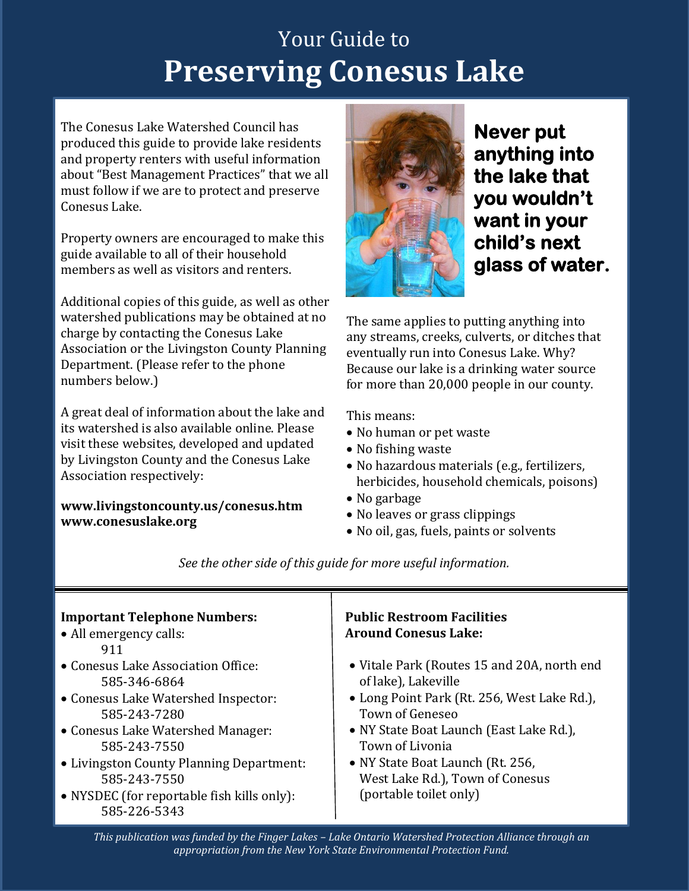# Your Guide to **Preserving Conesus Lake**

The Conesus Lake Watershed Council has produced this guide to provide lake residents and property renters with useful information about "Best Management Practices" that we all must follow if we are to protect and preserve Conesus Lake.

Property owners are encouraged to make this guide available to all of their household members as well as visitors and renters.

Additional copies of this guide, as well as other watershed publications may be obtained at no charge by contacting the Conesus Lake Association or the Livingston County Planning Department. (Please refer to the phone numbers below.)

A great deal of information about the lake and its watershed is also available online. Please visit these websites, developed and updated by Livingston County and the Conesus Lake Association respectively:

### **www.livingstoncounty.us/conesus.htm [www.conesuslake.org](http://www.conesuslake.org/)**



**Never put anything into the lake that you wouldn't want in your child's next glass of water.**

The same applies to putting anything into any streams, creeks, culverts, or ditches that eventually run into Conesus Lake. Why? Because our lake is a drinking water source for more than 20,000 people in our county.

This means:

- No human or pet waste
- No fishing waste
- No hazardous materials (e.g., fertilizers, herbicides, household chemicals, poisons)
- No garbage
- No leaves or grass clippings
- No oil, gas, fuels, paints or solvents

| <b>Important Telephone Numbers:</b><br>• All emergency calls:<br>911                                                                                                                                                                                                                     | <b>Public Restroom Facilities</b><br><b>Around Conesus Lake:</b>                                                                                                                                                                                                                                           |
|------------------------------------------------------------------------------------------------------------------------------------------------------------------------------------------------------------------------------------------------------------------------------------------|------------------------------------------------------------------------------------------------------------------------------------------------------------------------------------------------------------------------------------------------------------------------------------------------------------|
| • Conesus Lake Association Office:<br>585-346-6864<br>• Conesus Lake Watershed Inspector:<br>585-243-7280<br>• Conesus Lake Watershed Manager:<br>585-243-7550<br>• Livingston County Planning Department:<br>585-243-7550<br>• NYSDEC (for reportable fish kills only):<br>585-226-5343 | • Vitale Park (Routes 15 and 20A, north end<br>of lake), Lakeville<br>• Long Point Park (Rt. 256, West Lake Rd.),<br><b>Town of Geneseo</b><br>• NY State Boat Launch (East Lake Rd.),<br>Town of Livonia<br>• NY State Boat Launch (Rt. 256,<br>West Lake Rd.), Town of Conesus<br>(portable toilet only) |

*See the other side of this guide for more useful information.*

*This publication was funded by the Finger Lakes – Lake Ontario Watershed Protection Alliance through an appropriation from the New York State Environmental Protection Fund.*